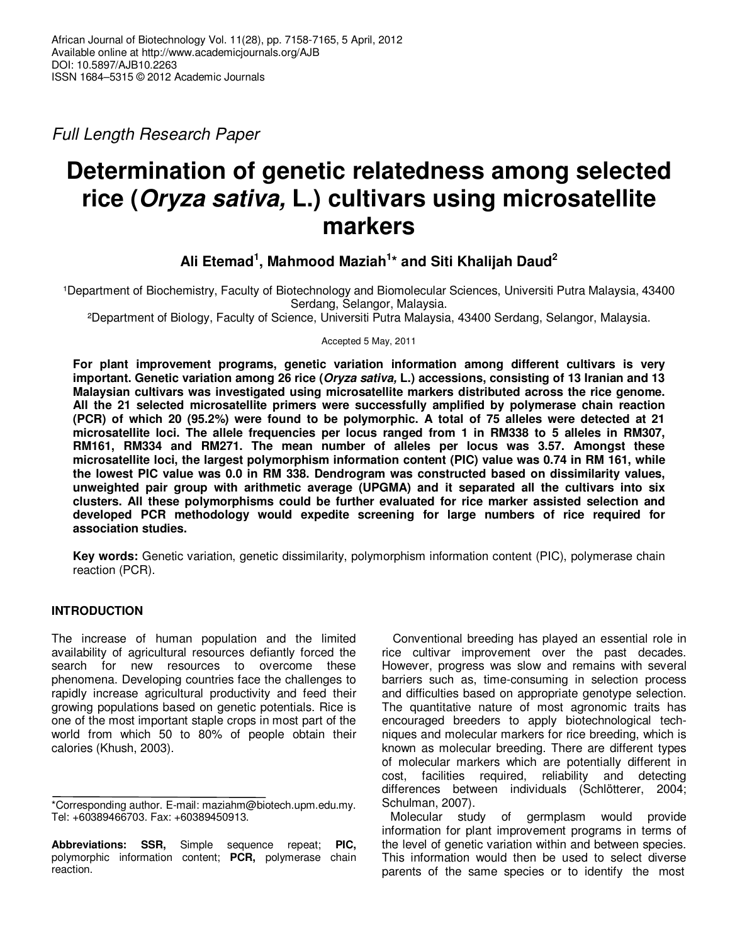Full Length Research Paper

# **Determination of genetic relatedness among selected rice (Oryza sativa, L.) cultivars using microsatellite markers**

**Ali Etemad<sup>1</sup> , Mahmood Maziah<sup>1</sup> \* and Siti Khalijah Daud<sup>2</sup>**

1Department of Biochemistry, Faculty of Biotechnology and Biomolecular Sciences, Universiti Putra Malaysia, 43400 Serdang, Selangor, Malaysia.

²Department of Biology, Faculty of Science, Universiti Putra Malaysia, 43400 Serdang, Selangor, Malaysia.

Accepted 5 May, 2011

**For plant improvement programs, genetic variation information among different cultivars is very important. Genetic variation among 26 rice (Oryza sativa, L.) accessions, consisting of 13 Iranian and 13 Malaysian cultivars was investigated using microsatellite markers distributed across the rice genome. All the 21 selected microsatellite primers were successfully amplified by polymerase chain reaction (PCR) of which 20 (95.2%) were found to be polymorphic. A total of 75 alleles were detected at 21 microsatellite loci. The allele frequencies per locus ranged from 1 in RM338 to 5 alleles in RM307, RM161, RM334 and RM271. The mean number of alleles per locus was 3.57. Amongst these microsatellite loci, the largest polymorphism information content (PIC) value was 0.74 in RM 161, while the lowest PIC value was 0.0 in RM 338. Dendrogram was constructed based on dissimilarity values, unweighted pair group with arithmetic average (UPGMA) and it separated all the cultivars into six clusters. All these polymorphisms could be further evaluated for rice marker assisted selection and developed PCR methodology would expedite screening for large numbers of rice required for association studies.** 

**Key words:** Genetic variation, genetic dissimilarity, polymorphism information content (PIC), polymerase chain reaction (PCR).

## **INTRODUCTION**

The increase of human population and the limited availability of agricultural resources defiantly forced the search for new resources to overcome these phenomena. Developing countries face the challenges to rapidly increase agricultural productivity and feed their growing populations based on genetic potentials. Rice is one of the most important staple crops in most part of the world from which 50 to 80% of people obtain their calories (Khush, 2003).

Conventional breeding has played an essential role in rice cultivar improvement over the past decades. However, progress was slow and remains with several barriers such as, time-consuming in selection process and difficulties based on appropriate genotype selection. The quantitative nature of most agronomic traits has encouraged breeders to apply biotechnological techniques and molecular markers for rice breeding, which is known as molecular breeding. There are different types of molecular markers which are potentially different in cost, facilities required, reliability and detecting differences between individuals (Schlötterer, 2004; Schulman, 2007).

Molecular study of germplasm would provide information for plant improvement programs in terms of the level of genetic variation within and between species. This information would then be used to select diverse parents of the same species or to identify the most

<sup>\*</sup>Corresponding author. E-mail: maziahm@biotech.upm.edu.my. Tel: +60389466703. Fax: +60389450913.

**Abbreviations: SSR,** Simple sequence repeat; **PIC,** polymorphic information content; **PCR,** polymerase chain reaction.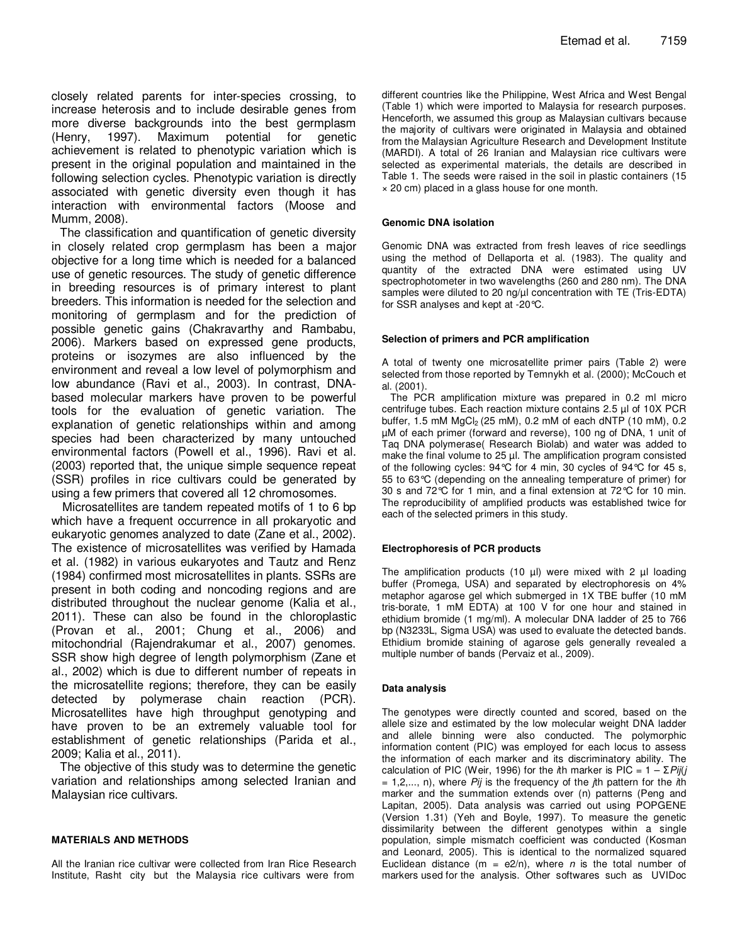closely related parents for inter-species crossing, to increase heterosis and to include desirable genes from more diverse backgrounds into the best germplasm (Henry, 1997). Maximum potential for genetic achievement is related to phenotypic variation which is present in the original population and maintained in the following selection cycles. Phenotypic variation is directly associated with genetic diversity even though it has interaction with environmental factors (Moose and Mumm, 2008).

The classification and quantification of genetic diversity in closely related crop germplasm has been a major objective for a long time which is needed for a balanced use of genetic resources. The study of genetic difference in breeding resources is of primary interest to plant breeders. This information is needed for the selection and monitoring of germplasm and for the prediction of possible genetic gains (Chakravarthy and Rambabu, 2006). Markers based on expressed gene products, proteins or isozymes are also influenced by the environment and reveal a low level of polymorphism and low abundance (Ravi et al., 2003). In contrast, DNAbased molecular markers have proven to be powerful tools for the evaluation of genetic variation. The explanation of genetic relationships within and among species had been characterized by many untouched environmental factors (Powell et al., 1996). Ravi et al. (2003) reported that, the unique simple sequence repeat (SSR) profiles in rice cultivars could be generated by using a few primers that covered all 12 chromosomes.

Microsatellites are tandem repeated motifs of 1 to 6 bp which have a frequent occurrence in all prokaryotic and eukaryotic genomes analyzed to date (Zane et al., 2002). The existence of microsatellites was verified by Hamada et al. (1982) in various eukaryotes and Tautz and Renz (1984) confirmed most microsatellites in plants. SSRs are present in both coding and noncoding regions and are distributed throughout the nuclear genome (Kalia et al., 2011). These can also be found in the chloroplastic (Provan et al., 2001; Chung et al., 2006) and mitochondrial (Rajendrakumar et al., 2007) genomes. SSR show high degree of length polymorphism (Zane et al., 2002) which is due to different number of repeats in the microsatellite regions; therefore, they can be easily detected by polymerase chain reaction (PCR). Microsatellites have high throughput genotyping and have proven to be an extremely valuable tool for establishment of genetic relationships (Parida et al., 2009; Kalia et al., 2011).

The objective of this study was to determine the genetic variation and relationships among selected Iranian and Malaysian rice cultivars.

## **MATERIALS AND METHODS**

All the Iranian rice cultivar were collected from Iran Rice Research Institute, Rasht city but the Malaysia rice cultivars were from

different countries like the Philippine, West Africa and West Bengal (Table 1) which were imported to Malaysia for research purposes. Henceforth, we assumed this group as Malaysian cultivars because the majority of cultivars were originated in Malaysia and obtained from the Malaysian Agriculture Research and Development Institute (MARDI). A total of 26 Iranian and Malaysian rice cultivars were selected as experimental materials, the details are described in Table 1. The seeds were raised in the soil in plastic containers (15 × 20 cm) placed in a glass house for one month.

#### **Genomic DNA isolation**

Genomic DNA was extracted from fresh leaves of rice seedlings using the method of Dellaporta et al. (1983). The quality and quantity of the extracted DNA were estimated using UV spectrophotometer in two wavelengths (260 and 280 nm). The DNA samples were diluted to 20 ng/ $\mu$ l concentration with TE (Tris-EDTA) for SSR analyses and kept at -20°C.

#### **Selection of primers and PCR amplification**

A total of twenty one microsatellite primer pairs (Table 2) were selected from those reported by Temnykh et al. (2000); McCouch et al. (2001).

The PCR amplification mixture was prepared in 0.2 ml micro centrifuge tubes. Each reaction mixture contains 2.5 µl of 10X PCR buffer, 1.5 mM  $MgCl<sub>2</sub>$  (25 mM), 0.2 mM of each dNTP (10 mM), 0.2 µM of each primer (forward and reverse), 100 ng of DNA, 1 unit of Taq DNA polymerase( Research Biolab) and water was added to make the final volume to 25 µl. The amplification program consisted of the following cycles: 94°C for 4 min, 30 cycles of 94°C for 45 s, 55 to 63°C (depending on the annealing temperature of primer) for 30 s and 72°C for 1 min, and a final extension at 72°C for 10 min. The reproducibility of amplified products was established twice for each of the selected primers in this study.

## **Electrophoresis of PCR products**

The amplification products (10  $\mu$ I) were mixed with 2  $\mu$ I loading buffer (Promega, USA) and separated by electrophoresis on 4% metaphor agarose gel which submerged in 1X TBE buffer (10 mM tris-borate, 1 mM EDTA) at 100 V for one hour and stained in ethidium bromide (1 mg/ml). A molecular DNA ladder of 25 to 766 bp (N3233L, Sigma USA) was used to evaluate the detected bands. Ethidium bromide staining of agarose gels generally revealed a multiple number of bands (Pervaiz et al., 2009).

#### **Data analysis**

The genotypes were directly counted and scored, based on the allele size and estimated by the low molecular weight DNA ladder and allele binning were also conducted. The polymorphic information content (PIC) was employed for each locus to assess the information of each marker and its discriminatory ability. The calculation of PIC (Weir, 1996) for the *i*th marker is PIC =  $1 - \sum P i f$  $= 1, 2, \ldots, n$ , where Pij is the frequency of the  $i$ th pattern for the  $i$ th marker and the summation extends over (n) patterns (Peng and Lapitan, 2005). Data analysis was carried out using POPGENE (Version 1.31) (Yeh and Boyle, 1997). To measure the genetic dissimilarity between the different genotypes within a single population, simple mismatch coefficient was conducted (Kosman and Leonard, 2005). This is identical to the normalized squared Euclidean distance (m = e2/n), where  $n$  is the total number of markers used for the analysis. Other softwares such as UVIDoc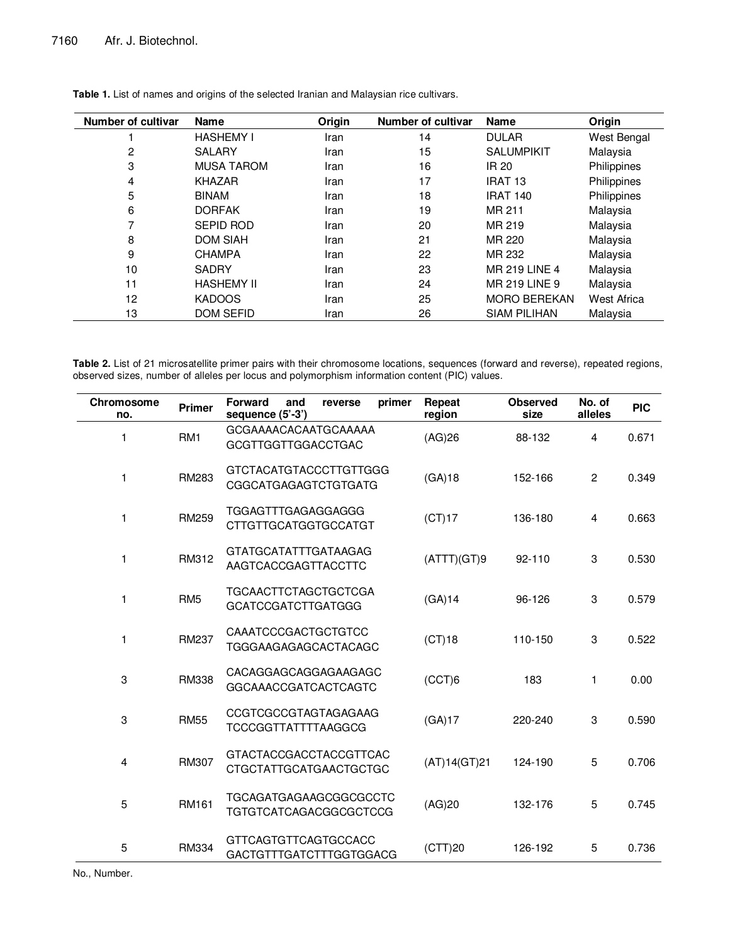| <b>Number of cultivar</b> | <b>Name</b>       | Origin | <b>Number of cultivar</b> | <b>Name</b>          | Origin      |
|---------------------------|-------------------|--------|---------------------------|----------------------|-------------|
|                           | <b>HASHEMY I</b>  | Iran   | 14                        | <b>DULAR</b>         | West Bengal |
| 2                         | <b>SALARY</b>     | Iran   | 15                        | <b>SALUMPIKIT</b>    | Malaysia    |
| 3                         | <b>MUSA TAROM</b> | Iran   | 16                        | IR 20                | Philippines |
| 4                         | <b>KHAZAR</b>     | Iran   | 17                        | IRAT <sub>13</sub>   | Philippines |
| 5                         | <b>BINAM</b>      | Iran   | 18                        | <b>IRAT 140</b>      | Philippines |
| 6                         | <b>DORFAK</b>     | Iran   | 19                        | MR 211               | Malaysia    |
| 7                         | <b>SEPID ROD</b>  | Iran   | 20                        | MR 219               | Malaysia    |
| 8                         | <b>DOM SIAH</b>   | Iran   | 21                        | MR 220               | Malaysia    |
| 9                         | <b>CHAMPA</b>     | Iran   | 22                        | MR 232               | Malaysia    |
| 10                        | <b>SADRY</b>      | Iran   | 23                        | <b>MR 219 LINE 4</b> | Malaysia    |
| 11                        | <b>HASHEMY II</b> | Iran   | 24                        | MR 219 LINE 9        | Malaysia    |
| 12                        | <b>KADOOS</b>     | Iran   | 25                        | <b>MORO BEREKAN</b>  | West Africa |
| 13                        | <b>DOM SEFID</b>  | Iran   | 26                        | <b>SIAM PILIHAN</b>  | Malaysia    |

**Table 1.** List of names and origins of the selected Iranian and Malaysian rice cultivars.

**Table 2.** List of 21 microsatellite primer pairs with their chromosome locations, sequences (forward and reverse), repeated regions, observed sizes, number of alleles per locus and polymorphism information content (PIC) values.

| Chromosome<br>no. | <b>Primer</b>   | <b>Forward</b><br>primer<br>and<br>reverse<br>sequence (5'-3') | Repeat<br>region | <b>Observed</b><br>size | No. of<br>alleles | <b>PIC</b> |
|-------------------|-----------------|----------------------------------------------------------------|------------------|-------------------------|-------------------|------------|
| 1                 | RM1             | <b>GCGAAAACACAATGCAAAAA</b><br><b>GCGTTGGTTGGACCTGAC</b>       | (AG)26           | 88-132                  | 4                 | 0.671      |
| $\mathbf{1}$      | RM283           | <b>GTCTACATGTACCCTTGTTGGG</b><br><b>CGGCATGAGAGTCTGTGATG</b>   | (GA)18           | 152-166                 | $\mathbf{2}$      | 0.349      |
| $\mathbf{1}$      | <b>RM259</b>    | TGGAGTTTGAGAGGAGGG<br><b>CTTGTTGCATGGTGCCATGT</b>              | (CT)17           | 136-180                 | 4                 | 0.663      |
| $\mathbf{1}$      | RM312           | <b>GTATGCATATTTGATAAGAG</b><br>AAGTCACCGAGTTACCTTC             | (ATTT)(GT)9      | $92 - 110$              | 3                 | 0.530      |
| $\mathbf{1}$      | RM <sub>5</sub> | <b>TGCAACTTCTAGCTGCTCGA</b><br><b>GCATCCGATCTTGATGGG</b>       | (GA)14           | 96-126                  | 3                 | 0.579      |
| $\mathbf{1}$      | <b>RM237</b>    | CAAATCCCGACTGCTGTCC<br><b>TGGGAAGAGAGCACTACAGC</b>             | (CT)18           | 110-150                 | 3                 | 0.522      |
| 3                 | <b>RM338</b>    | CACAGGAGCAGGAGAAGAGC<br><b>GGCAAACCGATCACTCAGTC</b>            | (CCT)6           | 183                     | 1                 | 0.00       |
| 3                 | <b>RM55</b>     | <b>CCGTCGCCGTAGTAGAGAAG</b><br><b>TCCCGGTTATTTTAAGGCG</b>      | (GA)17           | 220-240                 | 3                 | 0.590      |
| 4                 | RM307           | <b>GTACTACCGACCTACCGTTCAC</b><br><b>CTGCTATTGCATGAACTGCTGC</b> | (AT)14(GT)21     | 124-190                 | 5                 | 0.706      |
| 5                 | <b>RM161</b>    | <b>TGCAGATGAGAAGCGGCGCCTC</b><br><b>TGTGTCATCAGACGGCGCTCCG</b> | (AG)20           | 132-176                 | 5                 | 0.745      |
| 5                 | RM334           | <b>GTTCAGTGTTCAGTGCCACC</b><br><b>GACTGTTTGATCTTTGGTGGACG</b>  | (CTT)20          | 126-192                 | 5                 | 0.736      |

No., Number.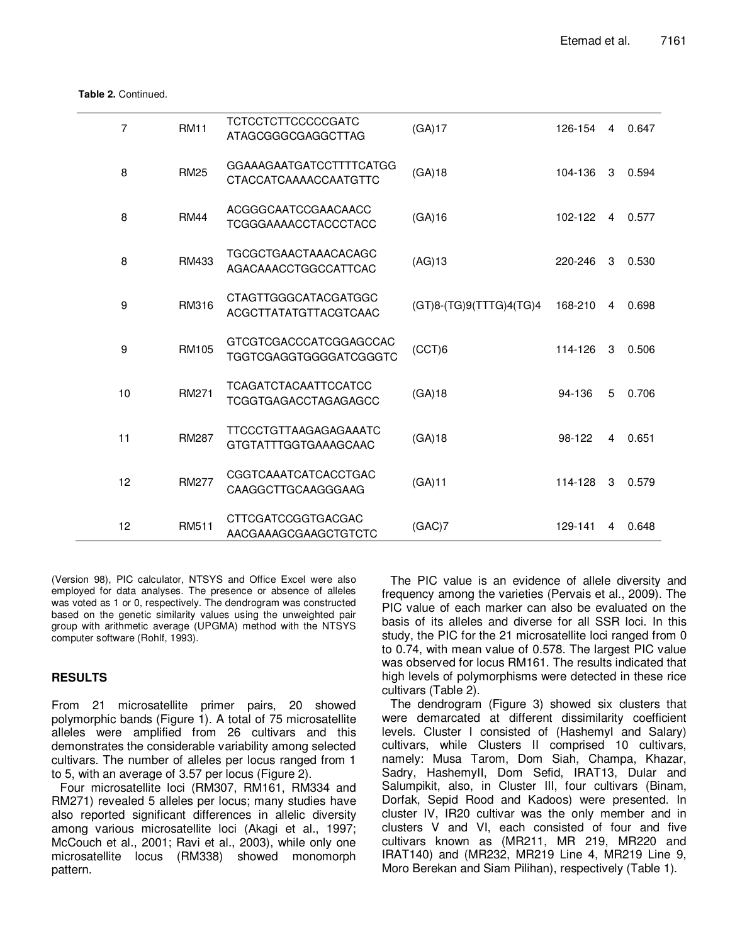**Table 2.** Continued.

| $\overline{7}$ | <b>RM11</b>  | <b>TCTCCTCTTCCCCCGATC</b><br>ATAGCGGGCGAGGCTTAG                | (GA)17                  | 126-154 | 4 | 0.647 |
|----------------|--------------|----------------------------------------------------------------|-------------------------|---------|---|-------|
| 8              | <b>RM25</b>  | <b>GGAAAGAATGATCCTTTTCATGG</b><br><b>CTACCATCAAAACCAATGTTC</b> | (GA)18                  | 104-136 | 3 | 0.594 |
| 8              | <b>RM44</b>  | ACGGGCAATCCGAACAACC<br><b>TCGGGAAAACCTACCCTACC</b>             | (GA)16                  | 102-122 | 4 | 0.577 |
| 8              | RM433        | <b>TGCGCTGAACTAAACACAGC</b><br>AGACAAACCTGGCCATTCAC            | $(AG)$ 13               | 220-246 | 3 | 0.530 |
| 9              | RM316        | CTAGTTGGGCATACGATGGC<br>ACGCTTATATGTTACGTCAAC                  | (GT)8-(TG)9(TTTG)4(TG)4 | 168-210 | 4 | 0.698 |
| 9              | <b>RM105</b> | GTCGTCGACCCATCGGAGCCAC<br><b>TGGTCGAGGTGGGGATCGGGTC</b>        | (CCT)6                  | 114-126 | 3 | 0.506 |
| 10             | <b>RM271</b> | <b>TCAGATCTACAATTCCATCC</b><br><b>TCGGTGAGACCTAGAGAGCC</b>     | (GA)18                  | 94-136  | 5 | 0.706 |
| 11             | <b>RM287</b> | <b>TTCCCTGTTAAGAGAGAAATC</b><br><b>GTGTATTTGGTGAAAGCAAC</b>    | (GA)18                  | 98-122  | 4 | 0.651 |
| 12             | <b>RM277</b> | CGGTCAAATCATCACCTGAC<br>CAAGGCTTGCAAGGGAAG                     | (GA)11                  | 114-128 | 3 | 0.579 |
| 12             | RM511        | <b>CTTCGATCCGGTGACGAC</b><br>AACGAAAGCGAAGCTGTCTC              | (GAC)7                  | 129-141 | 4 | 0.648 |

(Version 98), PIC calculator, NTSYS and Office Excel were also employed for data analyses. The presence or absence of alleles was voted as 1 or 0, respectively. The dendrogram was constructed based on the genetic similarity values using the unweighted pair group with arithmetic average (UPGMA) method with the NTSYS computer software (Rohlf, 1993).

## **RESULTS**

From 21 microsatellite primer pairs, 20 showed polymorphic bands (Figure 1). A total of 75 microsatellite alleles were amplified from 26 cultivars and this demonstrates the considerable variability among selected cultivars. The number of alleles per locus ranged from 1 to 5, with an average of 3.57 per locus (Figure 2).

Four microsatellite loci (RM307, RM161, RM334 and RM271) revealed 5 alleles per locus; many studies have also reported significant differences in allelic diversity among various microsatellite loci (Akagi et al., 1997; McCouch et al., 2001; Ravi et al., 2003), while only one microsatellite locus (RM338) showed monomorph pattern.

The PIC value is an evidence of allele diversity and frequency among the varieties (Pervais et al., 2009). The PIC value of each marker can also be evaluated on the basis of its alleles and diverse for all SSR loci. In this study, the PIC for the 21 microsatellite loci ranged from 0 to 0.74, with mean value of 0.578. The largest PIC value was observed for locus RM161. The results indicated that high levels of polymorphisms were detected in these rice cultivars (Table 2).

The dendrogram (Figure 3) showed six clusters that were demarcated at different dissimilarity coefficient levels. Cluster I consisted of (HashemyІ and Salary) cultivars, while Clusters II comprised 10 cultivars, namely: Musa Tarom, Dom Siah, Champa, Khazar, Sadry, HashemyII, Dom Sefid, IRAT13, Dular and Salumpikit, also, in Cluster III, four cultivars (Binam, Dorfak, Sepid Rood and Kadoos) were presented. In cluster IV, IR20 cultivar was the only member and in clusters V and VI, each consisted of four and five cultivars known as (MR211, MR 219, MR220 and IRAT140) and (MR232, MR219 Line 4, MR219 Line 9, Moro Berekan and Siam Pilihan), respectively (Table 1).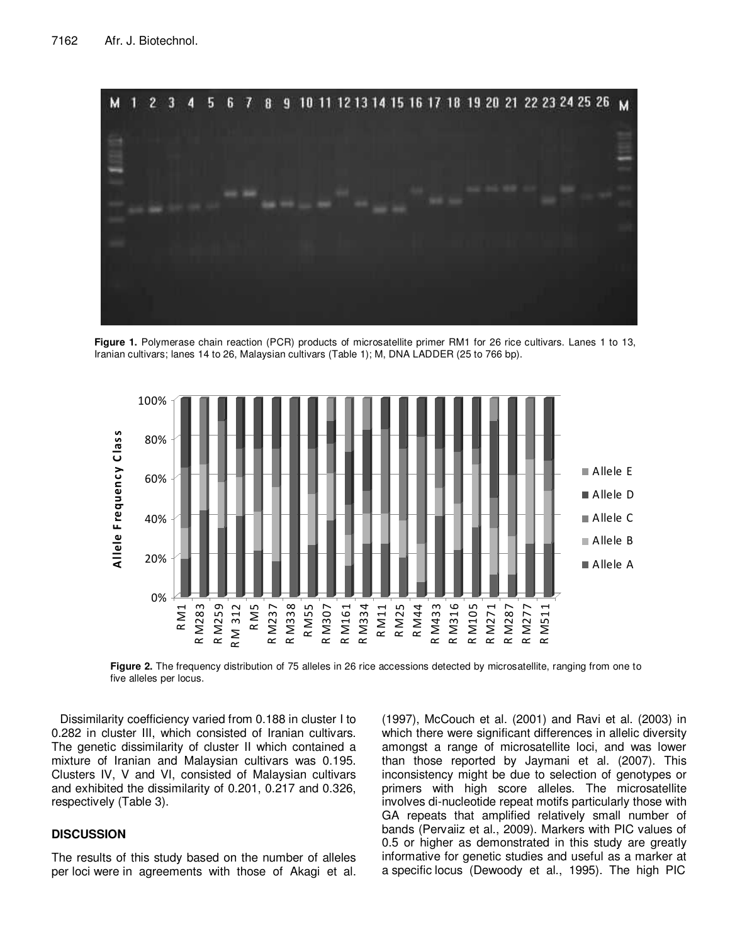

**Figure 1.** Polymerase chain reaction (PCR) products of microsatellite primer RM1 for 26 rice cultivars. Lanes 1 to 13, Iranian cultivars; lanes 14 to 26, Malaysian cultivars (Table 1); M, DNA LADDER (25 to 766 bp).



**Figure 2.** The frequency distribution of 75 alleles in 26 rice accessions detected by microsatellite, ranging from one to five alleles per locus.

Dissimilarity coefficiency varied from 0.188 in cluster I to 0.282 in cluster III, which consisted of Iranian cultivars. The genetic dissimilarity of cluster II which contained a mixture of Iranian and Malaysian cultivars was 0.195. Clusters IV, V and VI, consisted of Malaysian cultivars and exhibited the dissimilarity of 0.201, 0.217 and 0.326, respectively (Table 3).

## **DISCUSSION**

The results of this study based on the number of alleles per loci were in agreements with those of Akagi et al.

(1997), McCouch et al. (2001) and Ravi et al. (2003) in which there were significant differences in allelic diversity amongst a range of microsatellite loci, and was lower than those reported by Jaymani et al. (2007). This inconsistency might be due to selection of genotypes or primers with high score alleles. The microsatellite involves di-nucleotide repeat motifs particularly those with GA repeats that amplified relatively small number of bands (Pervaiiz et al., 2009). Markers with PIC values of 0.5 or higher as demonstrated in this study are greatly informative for genetic studies and useful as a marker at a specific locus (Dewoody et al., 1995). The high PIC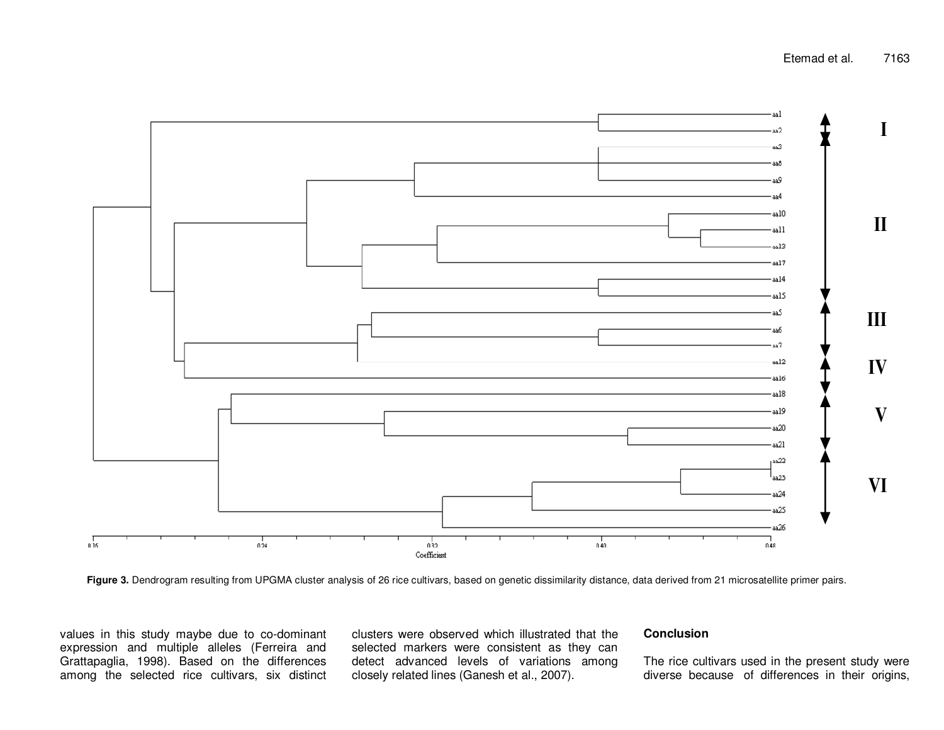

Figure 3. Dendrogram resulting from UPGMA cluster analysis of 26 rice cultivars, based on genetic dissimilarity distance, data derived from 21 microsatellite primer pairs.

values in this study maybe due to co-dominant expression and multiple alleles (Ferreira and Grattapaglia, 1998). Based on the differences among the selected rice cultivars, six distinct clusters were observed which illustrated that the selected markers were consistent as they can detect advanced levels of variations among closely related lines (Ganesh et al., 2007).

## **Conclusion**

The rice cultivars used in the present study were diverse because of differences in their origins,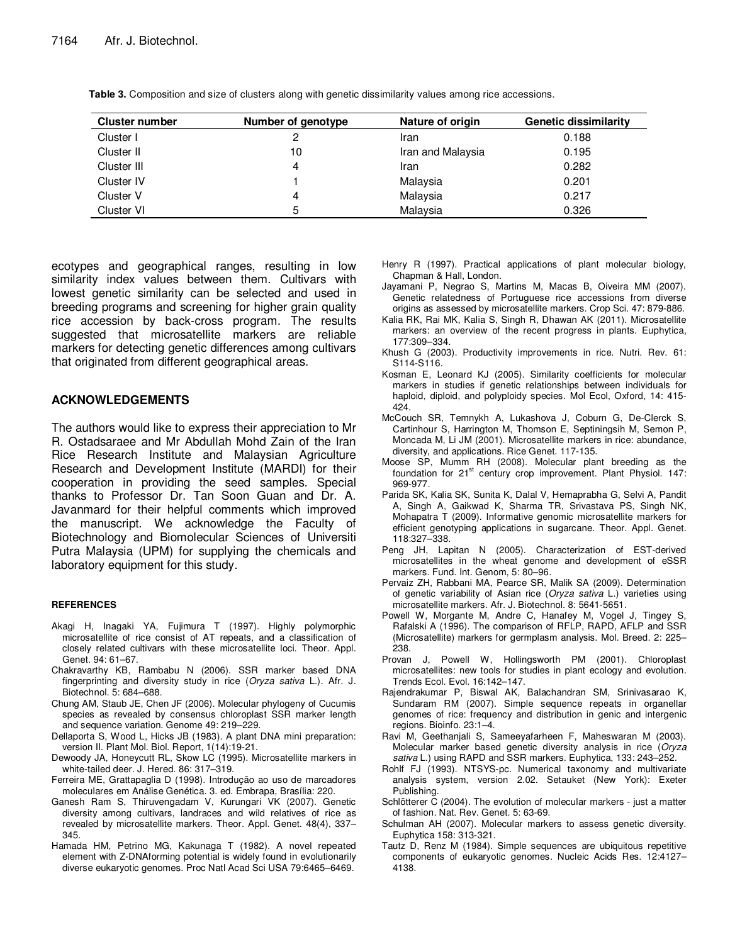| <b>Cluster number</b> | Number of genotype | Nature of origin  | <b>Genetic dissimilarity</b> |
|-----------------------|--------------------|-------------------|------------------------------|
| Cluster I             |                    | Iran              | 0.188                        |
| Cluster II            | 10                 | Iran and Malaysia | 0.195                        |
| Cluster III           |                    | Iran              | 0.282                        |
| Cluster IV            |                    | Malaysia          | 0.201                        |
| Cluster V             | 4                  | Malaysia          | 0.217                        |
| Cluster VI            |                    | Malaysia          | 0.326                        |

**Table 3.** Composition and size of clusters along with genetic dissimilarity values among rice accessions.

ecotypes and geographical ranges, resulting in low similarity index values between them. Cultivars with lowest genetic similarity can be selected and used in breeding programs and screening for higher grain quality rice accession by back-cross program. The results suggested that microsatellite markers are reliable markers for detecting genetic differences among cultivars that originated from different geographical areas.

## **ACKNOWLEDGEMENTS**

The authors would like to express their appreciation to Mr R. Ostadsaraee and Mr Abdullah Mohd Zain of the Iran Rice Research Institute and Malaysian Agriculture Research and Development Institute (MARDI) for their cooperation in providing the seed samples. Special thanks to Professor Dr. Tan Soon Guan and Dr. A. Javanmard for their helpful comments which improved the manuscript. We acknowledge the Faculty of Biotechnology and Biomolecular Sciences of Universiti Putra Malaysia (UPM) for supplying the chemicals and laboratory equipment for this study.

#### **REFERENCES**

- Akagi H, Inagaki YA, Fujimura T (1997). Highly polymorphic microsatellite of rice consist of AT repeats, and a classification of closely related cultivars with these microsatellite loci. Theor. Appl. Genet. 94: 61–67.
- Chakravarthy KB, Rambabu N (2006). SSR marker based DNA fingerprinting and diversity study in rice (Oryza sativa L.). Afr. J. Biotechnol. 5: 684–688.
- Chung AM, Staub JE, Chen JF (2006). Molecular phylogeny of Cucumis species as revealed by consensus chloroplast SSR marker length and sequence variation. Genome 49: 219–229.
- Dellaporta S, Wood L, Hicks JB (1983). A plant DNA mini preparation: version II. Plant Mol. Biol. Report, 1(14):19-21.
- Dewoody JA, Honeycutt RL, Skow LC (1995). Microsatellite markers in white-tailed deer. J. Hered. 86: 317–319.
- Ferreira ME, Grattapaglia D (1998). Introdução ao uso de marcadores moleculares em Análise Genética. 3. ed. Embrapa, Brasília: 220.
- Ganesh Ram S, Thiruvengadam V, Kurungari VK (2007). Genetic diversity among cultivars, landraces and wild relatives of rice as revealed by microsatellite markers. Theor. Appl. Genet. 48(4), 337– 345.
- Hamada HM, Petrino MG, Kakunaga T (1982). A novel repeated element with Z-DNAforming potential is widely found in evolutionarily diverse eukaryotic genomes. Proc Natl Acad Sci USA 79:6465–6469.
- Henry R (1997). Practical applications of plant molecular biology, Chapman & Hall, London.
- Jayamani P, Negrao S, Martins M, Macas B, Oiveira MM (2007). Genetic relatedness of Portuguese rice accessions from diverse origins as assessed by microsatellite markers. Crop Sci. 47: 879-886.
- Kalia RK, Rai MK, Kalia S, Singh R, Dhawan AK (2011). Microsatellite markers: an overview of the recent progress in plants. Euphytica, 177:309–334.
- Khush G (2003). Productivity improvements in rice. Nutri. Rev. 61: S114-S116.
- Kosman E, Leonard KJ (2005). Similarity coefficients for molecular markers in studies if genetic relationships between individuals for haploid, diploid, and polyploidy species. Mol Ecol, Oxford, 14: 415- 424.
- McCouch SR, Temnykh A, Lukashova J, Coburn G, De-Clerck S, Cartinhour S, Harrington M, Thomson E, Septiningsih M, Semon P, Moncada M, Li JM (2001). Microsatellite markers in rice: abundance, diversity, and applications. Rice Genet. 117-135.
- Moose SP, Mumm RH (2008). Molecular plant breeding as the foundation for 21<sup>st</sup> century crop improvement. Plant Physiol. 147: 969-977.
- Parida SK, Kalia SK, Sunita K, Dalal V, Hemaprabha G, Selvi A, Pandit A, Singh A, Gaikwad K, Sharma TR, Srivastava PS, Singh NK, Mohapatra T (2009). Informative genomic microsatellite markers for efficient genotyping applications in sugarcane. Theor. Appl. Genet. 118:327–338.
- Peng JH, Lapitan N (2005). Characterization of EST-derived microsatellites in the wheat genome and development of eSSR markers. Fund. Int. Genom, 5: 80–96.
- Pervaiz ZH, Rabbani MA, Pearce SR, Malik SA (2009). Determination of genetic variability of Asian rice (Oryza sativa L.) varieties using microsatellite markers. Afr. J. Biotechnol. 8: 5641-5651.
- Powell W, Morgante M, Andre C, Hanafey M, Vogel J, Tingey S, Rafalski A (1996). The comparison of RFLP, RAPD, AFLP and SSR (Microsatellite) markers for germplasm analysis. Mol. Breed. 2: 225– 238.
- Provan J, Powell W, Hollingsworth PM (2001). Chloroplast microsatellites: new tools for studies in plant ecology and evolution. Trends Ecol. Evol. 16:142–147.
- Rajendrakumar P, Biswal AK, Balachandran SM, Srinivasarao K, Sundaram RM (2007). Simple sequence repeats in organellar genomes of rice: frequency and distribution in genic and intergenic regions. Bioinfo. 23:1–4.
- Ravi M, Geethanjali S, Sameeyafarheen F, Maheswaran M (2003). Molecular marker based genetic diversity analysis in rice (Oryza sativa L.) using RAPD and SSR markers. Euphytica, 133: 243-252.
- Rohlf FJ (1993). NTSYS-pc. Numerical taxonomy and multivariate analysis system, version 2.02. Setauket (New York): Exeter Publishing.
- Schlötterer C (2004). The evolution of molecular markers just a matter of fashion. Nat. Rev. Genet. 5: 63-69.
- Schulman AH (2007). Molecular markers to assess genetic diversity. Euphytica 158: 313-321.
- Tautz D, Renz M (1984). Simple sequences are ubiquitous repetitive components of eukaryotic genomes. Nucleic Acids Res. 12:4127– 4138.